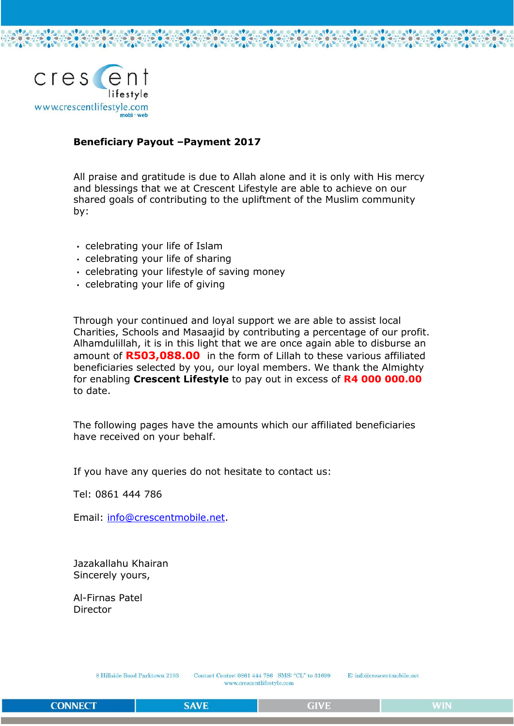

### **Beneficiary Payout –Payment 2017**

All praise and gratitude is due to Allah alone and it is only with His mercy and blessings that we at Crescent Lifestyle are able to achieve on our shared goals of contributing to the upliftment of the Muslim community by:

- celebrating your life of Islam
- celebrating your life of sharing
- $\cdot$  celebrating your lifestyle of saving money
- celebrating your life of giving

Through your continued and loyal support we are able to assist local Charities, Schools and Masaajid by contributing a percentage of our profit. Alhamdulillah, it is in this light that we are once again able to disburse an amount of **R503,088.00** in the form of Lillah to these various affiliated beneficiaries selected by you, our loyal members. We thank the Almighty for enabling **Crescent Lifestyle** to pay out in excess of **R4 000 000.00** to date.

The following pages have the amounts which our affiliated beneficiaries have received on your behalf.

If you have any queries do not hesitate to contact us:

Tel: 0861 444 786

Email: [info@crescentmobile.net.](mailto:info@crescentmobile.net)

Jazakallahu Khairan Sincerely yours,

Al-Firnas Patel Director

> 8 Hillside Road Parktown 2193 Contact Centre: 0861 444 786 SMS: "CL" to 31699 www.crescentlifestyle.com

E: info@crescentmobile.net

**SAVE**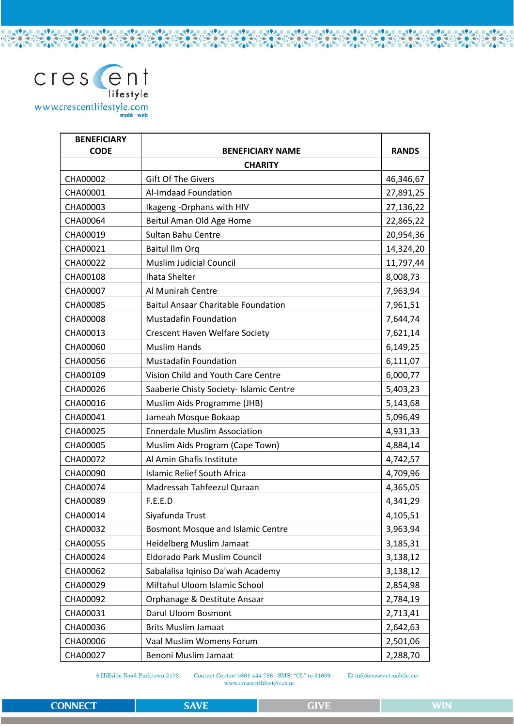

 $\sim$ 

LAP<sub>P</sub>

 $\mathcal{C}_{\mathbf{0}}$ 

**CAL** 

 $990$ 

č٨

 $-990 -$ 

7000

**CARAGIO** 

also calso calso calso

 $\frac{1}{2}$ 

La**te** 

 $e_{\delta b}$ 

 $-122 -$ 

**COOM** 

 $.99<sub>0</sub>$ 

ZA.

| <b>BENEFICIARY</b><br><b>CODE</b> | <b>BENEFICIARY NAME</b>                    | <b>RANDS</b> |
|-----------------------------------|--------------------------------------------|--------------|
|                                   | <b>CHARITY</b>                             |              |
| CHA00002                          | <b>Gift Of The Givers</b>                  |              |
| CHA00001                          | Al-Imdaad Foundation                       | 46,346,67    |
|                                   |                                            | 27,891,25    |
| CHA00003<br>CHA00064              | Ikageng - Orphans with HIV                 | 27,136,22    |
|                                   | Beitul Aman Old Age Home                   | 22,865,22    |
| CHA00019                          | <b>Sultan Bahu Centre</b>                  | 20,954,36    |
| CHA00021                          | Baitul Ilm Orq                             | 14,324,20    |
| CHA00022                          | <b>Muslim Judicial Council</b>             | 11,797,44    |
| CHA00108                          | Ihata Shelter                              | 8,008,73     |
| CHA00007                          | Al Munirah Centre                          | 7,963,94     |
| CHA00085                          | <b>Baitul Ansaar Charitable Foundation</b> | 7,961,51     |
| CHA00008                          | <b>Mustadafin Foundation</b>               | 7,644,74     |
| CHA00013                          | <b>Crescent Haven Welfare Society</b>      | 7,621,14     |
| CHA00060                          | <b>Muslim Hands</b>                        | 6,149,25     |
| CHA00056                          | <b>Mustadafin Foundation</b>               | 6,111,07     |
| CHA00109                          | Vision Child and Youth Care Centre         | 6,000,77     |
| CHA00026                          | Saaberie Chisty Society- Islamic Centre    | 5,403,23     |
| CHA00016                          | Muslim Aids Programme (JHB)                | 5,143,68     |
| CHA00041                          | Jameah Mosque Bokaap                       | 5,096,49     |
| CHA00025                          | <b>Ennerdale Muslim Association</b>        | 4,931,33     |
| CHA00005                          | Muslim Aids Program (Cape Town)            | 4,884,14     |
| CHA00072                          | Al Amin Ghafis Institute                   | 4,742,57     |
| CHA00090                          | <b>Islamic Relief South Africa</b>         | 4,709,96     |
| CHA00074                          | Madressah Tahfeezul Quraan                 | 4,365,05     |
| CHA00089                          | F.E.E.D                                    | 4,341,29     |
| CHA00014                          | Siyafunda Trust                            | 4,105,51     |
| CHA00032                          | <b>Bosmont Mosque and Islamic Centre</b>   | 3,963,94     |
| CHA00055                          | Heidelberg Muslim Jamaat                   | 3,185,31     |
| CHA00024                          | Eldorado Park Muslim Council               | 3,138,12     |
| CHA00062                          | Sabalalisa Iqiniso Da'wah Academy          | 3,138,12     |
| CHA00029                          | Miftahul Uloom Islamic School              | 2,854,98     |
| CHA00092                          | Orphanage & Destitute Ansaar               | 2,784,19     |
| CHA00031                          | Darul Uloom Bosmont                        | 2,713,41     |
| CHA00036                          | <b>Brits Muslim Jamaat</b>                 | 2,642,63     |
| CHA00006                          | Vaal Muslim Womens Forum                   | 2,501,06     |
| CHA00027                          | Benoni Muslim Jamaat                       | 2,288,70     |

8 Hillside Road Parktown 2193

Contact Centre: 0861 444 786 SMS: "CL" to 31699 www.crescentlifestyle.com

E: info@crescentmobile.net

**CONNECT**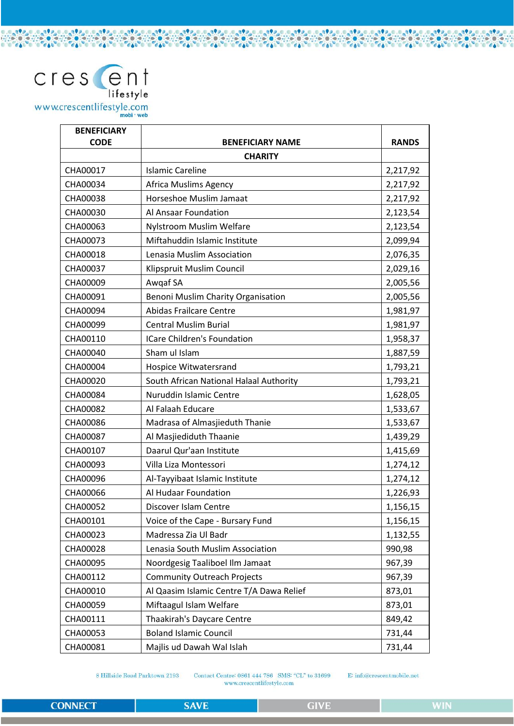

**CAL** 

**CA** 

| <b>BENEFICIARY</b><br><b>CODE</b> | <b>BENEFICIARY NAME</b>                  | <b>RANDS</b> |
|-----------------------------------|------------------------------------------|--------------|
|                                   | <b>CHARITY</b>                           |              |
| CHA00017                          | <b>Islamic Careline</b>                  | 2,217,92     |
| CHA00034                          | Africa Muslims Agency                    | 2,217,92     |
| CHA00038                          | Horseshoe Muslim Jamaat                  | 2,217,92     |
| CHA00030                          | Al Ansaar Foundation                     | 2,123,54     |
| CHA00063                          | Nylstroom Muslim Welfare                 | 2,123,54     |
| CHA00073                          | Miftahuddin Islamic Institute            | 2,099,94     |
| CHA00018                          | Lenasia Muslim Association               | 2,076,35     |
| CHA00037                          | Klipspruit Muslim Council                | 2,029,16     |
| CHA00009                          | Awgaf SA                                 | 2,005,56     |
| CHA00091                          | Benoni Muslim Charity Organisation       | 2,005,56     |
| CHA00094                          | <b>Abidas Frailcare Centre</b>           | 1,981,97     |
| CHA00099                          | <b>Central Muslim Burial</b>             | 1,981,97     |
| CHA00110                          | <b>ICare Children's Foundation</b>       | 1,958,37     |
| CHA00040                          | Sham ul Islam                            | 1,887,59     |
| CHA00004                          | Hospice Witwatersrand                    | 1,793,21     |
| CHA00020                          | South African National Halaal Authority  | 1,793,21     |
| CHA00084                          | Nuruddin Islamic Centre                  | 1,628,05     |
| CHA00082                          | Al Falaah Educare                        | 1,533,67     |
| CHA00086                          | Madrasa of Almasjieduth Thanie           | 1,533,67     |
| CHA00087                          | Al Masjiediduth Thaanie                  | 1,439,29     |
| CHA00107                          | Daarul Qur'aan Institute                 | 1,415,69     |
| CHA00093                          | Villa Liza Montessori                    | 1,274,12     |
| CHA00096                          | Al-Tayyibaat Islamic Institute           | 1,274,12     |
| CHA00066                          | Al Hudaar Foundation                     | 1,226,93     |
| CHA00052                          | Discover Islam Centre                    | 1,156,15     |
| CHA00101                          | Voice of the Cape - Bursary Fund         | 1,156,15     |
| CHA00023                          | Madressa Zia Ul Badr                     | 1,132,55     |
| CHA00028                          | Lenasia South Muslim Association         | 990,98       |
| CHA00095                          | Noordgesig Taaliboel Ilm Jamaat          | 967,39       |
| CHA00112                          | <b>Community Outreach Projects</b>       | 967,39       |
| CHA00010                          | Al Qaasim Islamic Centre T/A Dawa Relief | 873,01       |
| CHA00059                          | Miftaagul Islam Welfare                  | 873,01       |
| CHA00111                          | Thaakirah's Daycare Centre               | 849,42       |
| CHA00053                          | <b>Boland Islamic Council</b>            | 731,44       |
| CHA00081                          | Majlis ud Dawah Wal Islah                | 731,44       |

 $-990 -$ 

**CAL** 

 $-192 -$ 

**CON** 

 $-19.8$ 

 $\frac{1}{2}$ 

LO 392 OLO 392 OLO 392

**CONDE** 

8 Hillside Road Parktown 2193

Contact Centre: 0861 444 786 SMS: "CL" to 31699 www.crescentlifestyle.com

E: info@crescentmobile.net

**CONNECT** 

 $-999$ 

 $-996$ 

LAP<sub>P</sub>

**CON**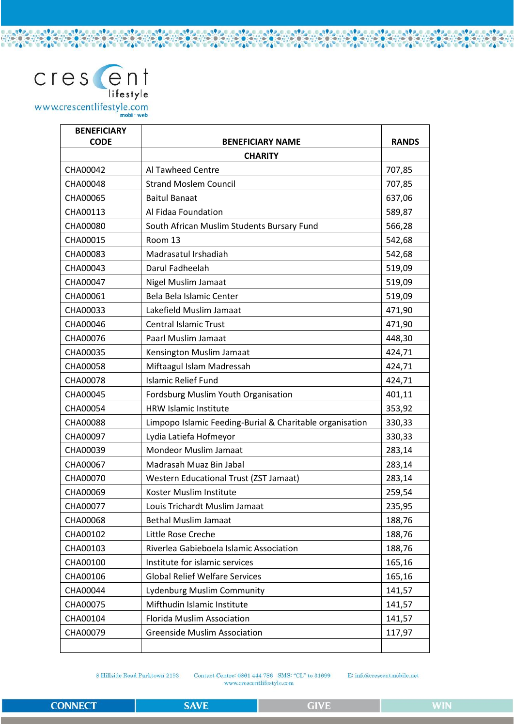

| <b>BENEFICIARY</b><br><b>CODE</b> | <b>BENEFICIARY NAME</b>                                  | <b>RANDS</b> |  |
|-----------------------------------|----------------------------------------------------------|--------------|--|
|                                   | <b>CHARITY</b>                                           |              |  |
| CHA00042                          | Al Tawheed Centre                                        | 707,85       |  |
| CHA00048                          | <b>Strand Moslem Council</b>                             | 707,85       |  |
| CHA00065                          | <b>Baitul Banaat</b>                                     | 637,06       |  |
| CHA00113                          | Al Fidaa Foundation                                      | 589,87       |  |
| CHA00080                          | South African Muslim Students Bursary Fund               | 566,28       |  |
| CHA00015                          | Room 13                                                  | 542,68       |  |
| CHA00083                          | Madrasatul Irshadiah                                     | 542,68       |  |
| CHA00043                          | Darul Fadheelah                                          | 519,09       |  |
| CHA00047                          | Nigel Muslim Jamaat                                      | 519,09       |  |
| CHA00061                          | Bela Bela Islamic Center                                 | 519,09       |  |
| CHA00033                          | Lakefield Muslim Jamaat                                  | 471,90       |  |
| CHA00046                          | <b>Central Islamic Trust</b>                             | 471,90       |  |
| CHA00076                          | Paarl Muslim Jamaat                                      | 448,30       |  |
| CHA00035                          | Kensington Muslim Jamaat                                 | 424,71       |  |
| CHA00058                          | Miftaagul Islam Madressah                                | 424,71       |  |
| CHA00078                          | <b>Islamic Relief Fund</b>                               | 424,71       |  |
| CHA00045                          | Fordsburg Muslim Youth Organisation                      | 401,11       |  |
| CHA00054                          | <b>HRW Islamic Institute</b>                             | 353,92       |  |
| CHA00088                          | Limpopo Islamic Feeding-Burial & Charitable organisation | 330,33       |  |
| CHA00097                          | Lydia Latiefa Hofmeyor                                   | 330,33       |  |
| CHA00039                          | <b>Mondeor Muslim Jamaat</b>                             | 283,14       |  |
| CHA00067                          | Madrasah Muaz Bin Jabal                                  | 283,14       |  |
| CHA00070                          | Western Educational Trust (ZST Jamaat)                   | 283,14       |  |
| CHA00069                          | Koster Muslim Institute                                  | 259,54       |  |
| CHA00077                          | Louis Trichardt Muslim Jamaat                            | 235,95       |  |
| CHA00068                          | <b>Bethal Muslim Jamaat</b>                              | 188,76       |  |
| CHA00102                          | Little Rose Creche                                       | 188,76       |  |
| CHA00103                          | Riverlea Gabieboela Islamic Association                  | 188,76       |  |
| CHA00100                          | Institute for islamic services                           | 165,16       |  |
| CHA00106                          | <b>Global Relief Welfare Services</b>                    | 165,16       |  |
| CHA00044                          | <b>Lydenburg Muslim Community</b>                        | 141,57       |  |
| CHA00075                          | Mifthudin Islamic Institute                              | 141,57       |  |
| CHA00104                          | <b>Florida Muslim Association</b>                        | 141,57       |  |
| CHA00079                          | <b>Greenside Muslim Association</b>                      | 117,97       |  |
|                                   |                                                          |              |  |

 $-990 -$ 

**CAL** 

 $-999$ 

**CA** 

**CAL** 

**APP** 

**CON** 

**APP** 

**CONTRACTOR** 

**CARAGICARAG** 

**CONDE** 

 $0.999$ 

 $\epsilon$ 

8 Hillside Road Parktown 2193

Contact Centre: 0861 444 786 SMS: "CL" to 31699 www.crescentlifestyle.com

E: info@crescentmobile.net

 $-999$ 

 $.99$ 

 $.99<sub>o</sub>$ 

**CON**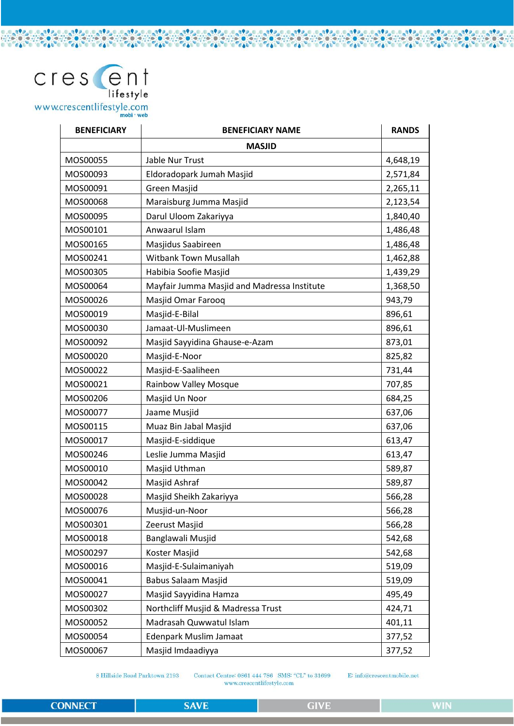### cres ent lifestyle www.crescentlifestyle.com

**BENEFICIARY BENEFICIARY NAME RANDS MASJID** MOS00055 **Jable Nur Trust** 4.648.19 MOS00093 Eldoradopark Jumah Masjid 2,571,84 **Green Masjid** 2,265,11 MOS00091 MOS00068 Maraisburg Jumma Masjid 2,123,54 MOS00095 Darul Uloom Zakariyya 1,840,40 1,486,48 MOS00101 Anwaarul Islam MOS00165 Masjidus Saabireen 1,486,48 MOS00241 Witbank Town Musallah 1,462,88 MOS00305 Habibia Soofie Masjid 1,439,29 MOS00064 Mayfair Jumma Masjid and Madressa Institute 1,368,50 Masjid Omar Farooq MOS00026 943,79 MOS00019 Masjid-E-Bilal 896,61 Jamaat-Ul-Muslimeen 896,61 MOS00030 MOS00092 Masjid Sayyidina Ghause-e-Azam 873,01 MOS00020 Masjid-E-Noor 825,82 MOS00022 Masjid-E-Saaliheen 731,44 MOS00021 **Rainbow Valley Mosque** 707.85 MOS00206 Masjid Un Noor 684,25 MOS00077 637,06 Jaame Musjid MOS00115 Muaz Bin Jabal Masjid 637.06 MOS00017 Masjid-E-siddique 613.47 MOS00246 Leslie Jumma Masjid 613,47 MOS00010 Masjid Uthman 589,87 MOS00042 Masjid Ashraf 589,87 MOS00028 Masjid Sheikh Zakariyya 566,28 MOS00076 Musjid-un-Noor 566.28 566,28 MOS00301 Zeerust Masjid MOS00018 Banglawali Musjid 542,68 MOS00297 Koster Masjid 542,68 MOS00016 Masjid-E-Sulaimaniyah 519,09 MOS00041 **Babus Salaam Masjid** 519,09 MOS00027 Masjid Sayyidina Hamza 495.49 MOS00302 Northcliff Musjid & Madressa Trust 424,71 MOS00052 Madrasah Quwwatul Islam 401,11 MOS00054 **Edenpark Muslim Jamaat** 377,52 MOS00067 Masjid Imdaadiyya 377,52

8 Hillside Road Parktown 2193

Contact Centre: 0861 444 786 SMS: "CL" to 31699 www.crescentlifestyle.com

E: info@crescentmobile.net

**CONNECT** 

المطالعين ومطلوب ومالحه ومعاون ومالحا ومعاون ومالحق والمعادي

**CONST** 

**CAN DE**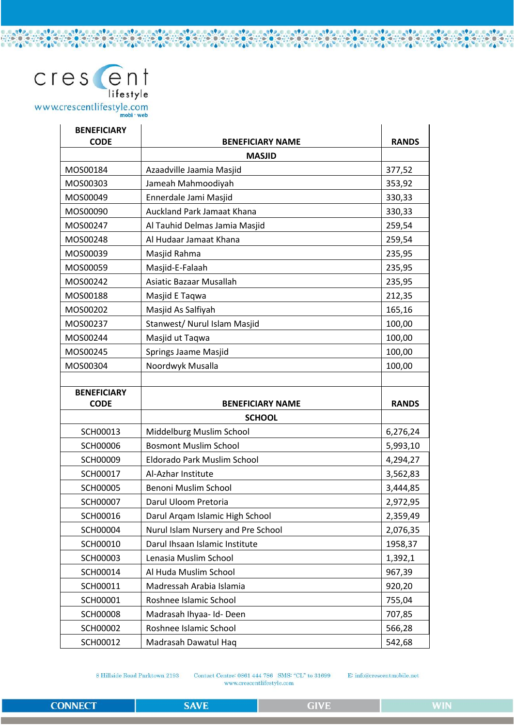# $\text{cres}$   $\text{en}^{\dagger}_{\text{liftstyle}}$ www.crescentlifestyle.com

| <b>BENEFICIARY</b><br><b>CODE</b> | <b>BENEFICIARY NAME</b>                        | <b>RANDS</b>     |
|-----------------------------------|------------------------------------------------|------------------|
|                                   | <b>MASJID</b>                                  |                  |
| MOS00184                          | Azaadville Jaamia Masjid                       | 377,52           |
| MOS00303                          | Jameah Mahmoodiyah                             | 353,92           |
| MOS00049                          | Ennerdale Jami Masjid                          | 330,33           |
| MOS00090                          | Auckland Park Jamaat Khana                     | 330,33           |
| MOS00247                          | Al Tauhid Delmas Jamia Masjid                  | 259,54           |
| MOS00248                          | Al Hudaar Jamaat Khana                         | 259,54           |
| MOS00039                          | Masjid Rahma                                   | 235,95           |
| MOS00059                          | Masjid-E-Falaah                                | 235,95           |
| MOS00242                          | Asiatic Bazaar Musallah                        | 235,95           |
| MOS00188                          | Masjid E Taqwa                                 | 212,35           |
| MOS00202                          | Masjid As Salfiyah                             | 165,16           |
| MOS00237                          | Stanwest/ Nurul Islam Masjid                   | 100,00           |
| MOS00244                          | Masjid ut Taqwa                                | 100,00           |
| MOS00245                          | Springs Jaame Masjid                           | 100,00           |
| MOS00304                          | Noordwyk Musalla                               | 100,00           |
|                                   |                                                |                  |
| <b>BENEFICIARY</b>                |                                                |                  |
| <b>CODE</b>                       | <b>BENEFICIARY NAME</b>                        | <b>RANDS</b>     |
|                                   | <b>SCHOOL</b>                                  |                  |
| SCH00013                          | Middelburg Muslim School                       | 6,276,24         |
| <b>SCH00006</b>                   | <b>Bosmont Muslim School</b>                   | 5,993,10         |
| <b>SCH00009</b>                   | Eldorado Park Muslim School                    | 4,294,27         |
| SCH00017                          | Al-Azhar Institute                             | 3,562,83         |
| <b>SCH00005</b>                   | Benoni Muslim School                           | 3,444,85         |
| <b>SCH00007</b>                   | Darul Uloom Pretoria                           | 2,972,95         |
| SCH00016                          | Darul Arqam Islamic High School                | 2,359,49         |
| <b>SCH00004</b>                   | Nurul Islam Nursery and Pre School             | 2,076,35         |
| SCH00010                          | Darul Ihsaan Islamic Institute                 | 1958,37          |
| <b>SCH00003</b>                   | Lenasia Muslim School                          | 1,392,1          |
| SCH00014                          | Al Huda Muslim School                          | 967,39           |
| SCH00011                          | Madressah Arabia Islamia                       | 920,20           |
| SCH00001                          | Roshnee Islamic School                         | 755,04           |
| <b>SCH00008</b>                   | Madrasah Ihyaa- Id- Deen                       | 707,85           |
| <b>SCH00002</b>                   |                                                |                  |
| SCH00012                          | Roshnee Islamic School<br>Madrasah Dawatul Haq | 566,28<br>542,68 |

 $-990 -$ 

**COLUM** 

 $-192 -$ 

**CON** 

**APP** 

 $\frac{1}{2}$ 

.0.090.0.0.090.0.0.090.

8 Hillside Road Parktown 2193

Contact Centre: 0861 444 786 SMS: "CL" to 31699 www.crescentlifestyle.com

E: info@crescentmobile.net

 $-999$ 

**COM**